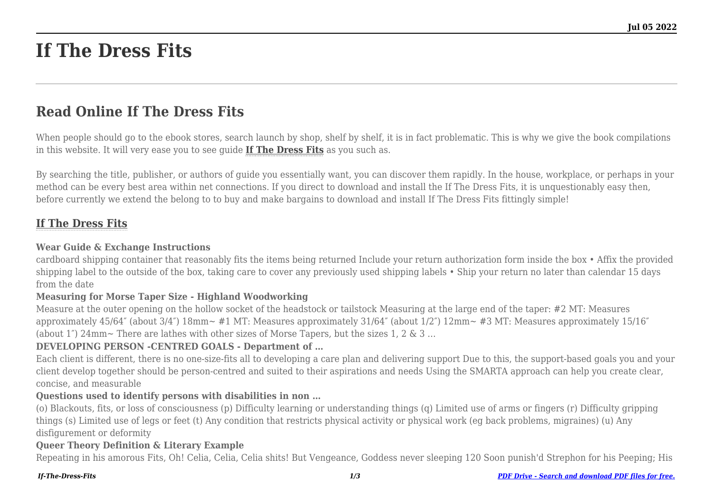# **If The Dress Fits**

# **Read Online If The Dress Fits**

When people should go to the ebook stores, search launch by shop, shelf by shelf, it is in fact problematic. This is why we give the book compilations in this website. It will very ease you to see guide **[If The Dress Fits](http://goldwoodgardens.com)** as you such as.

By searching the title, publisher, or authors of guide you essentially want, you can discover them rapidly. In the house, workplace, or perhaps in your method can be every best area within net connections. If you direct to download and install the If The Dress Fits, it is unquestionably easy then, before currently we extend the belong to to buy and make bargains to download and install If The Dress Fits fittingly simple!

# **[If The Dress Fits](http://goldwoodgardens.com/If-The-Dress-Fits.pdf)**

#### **Wear Guide & Exchange Instructions**

cardboard shipping container that reasonably fits the items being returned Include your return authorization form inside the box • Affix the provided shipping label to the outside of the box, taking care to cover any previously used shipping labels • Ship your return no later than calendar 15 days from the date

#### **Measuring for Morse Taper Size - Highland Woodworking**

Measure at the outer opening on the hollow socket of the headstock or tailstock Measuring at the large end of the taper: #2 MT: Measures approximately 45/64″ (about 3/4″) 18mm∼ #1 MT: Measures approximately 31/64″ (about 1/2″) 12mm∼ #3 MT: Measures approximately 15/16″ (about 1″) 24mm∼ There are lathes with other sizes of Morse Tapers, but the sizes 1, 2 & 3 …

#### **DEVELOPING PERSON -CENTRED GOALS - Department of …**

Each client is different, there is no one-size-fits all to developing a care plan and delivering support Due to this, the support-based goals you and your client develop together should be person-centred and suited to their aspirations and needs Using the SMARTA approach can help you create clear, concise, and measurable

#### **Questions used to identify persons with disabilities in non …**

(o) Blackouts, fits, or loss of consciousness (p) Difficulty learning or understanding things (q) Limited use of arms or fingers (r) Difficulty gripping things (s) Limited use of legs or feet (t) Any condition that restricts physical activity or physical work (eg back problems, migraines) (u) Any disfigurement or deformity

#### **Queer Theory Definition & Literary Example**

Repeating in his amorous Fits, Oh! Celia, Celia, Celia shits! But Vengeance, Goddess never sleeping 120 Soon punish'd Strephon for his Peeping; His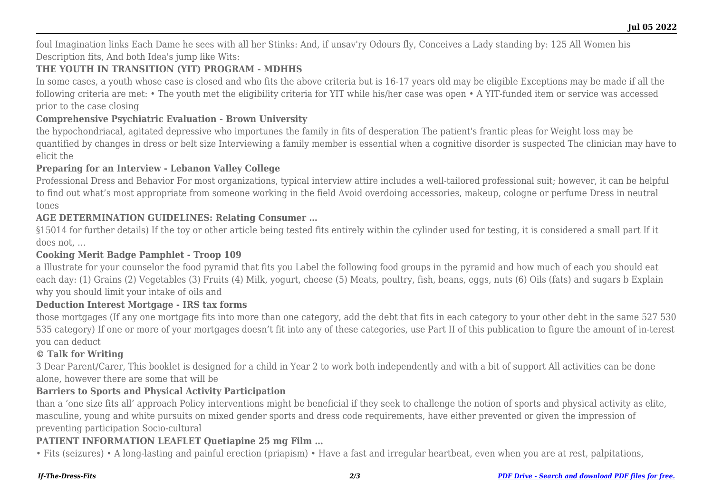foul Imagination links Each Dame he sees with all her Stinks: And, if unsav'ry Odours fly, Conceives a Lady standing by: 125 All Women his Description fits, And both Idea's jump like Wits:

# **THE YOUTH IN TRANSITION (YIT) PROGRAM - MDHHS**

In some cases, a youth whose case is closed and who fits the above criteria but is 16-17 years old may be eligible Exceptions may be made if all the following criteria are met: • The youth met the eligibility criteria for YIT while his/her case was open • A YIT-funded item or service was accessed prior to the case closing

# **Comprehensive Psychiatric Evaluation - Brown University**

the hypochondriacal, agitated depressive who importunes the family in fits of desperation The patient's frantic pleas for Weight loss may be quantified by changes in dress or belt size Interviewing a family member is essential when a cognitive disorder is suspected The clinician may have to elicit the

#### **Preparing for an Interview - Lebanon Valley College**

Professional Dress and Behavior For most organizations, typical interview attire includes a well-tailored professional suit; however, it can be helpful to find out what's most appropriate from someone working in the field Avoid overdoing accessories, makeup, cologne or perfume Dress in neutral tones

# **AGE DETERMINATION GUIDELINES: Relating Consumer …**

§15014 for further details) If the toy or other article being tested fits entirely within the cylinder used for testing, it is considered a small part If it does not, …

# **Cooking Merit Badge Pamphlet - Troop 109**

a Illustrate for your counselor the food pyramid that fits you Label the following food groups in the pyramid and how much of each you should eat each day: (1) Grains (2) Vegetables (3) Fruits (4) Milk, yogurt, cheese (5) Meats, poultry, fish, beans, eggs, nuts (6) Oils (fats) and sugars b Explain why you should limit your intake of oils and

#### **Deduction Interest Mortgage - IRS tax forms**

those mortgages (If any one mortgage fits into more than one category, add the debt that fits in each category to your other debt in the same 527 530 535 category) If one or more of your mortgages doesn't fit into any of these categories, use Part II of this publication to figure the amount of in-terest you can deduct

# **© Talk for Writing**

3 Dear Parent/Carer, This booklet is designed for a child in Year 2 to work both independently and with a bit of support All activities can be done alone, however there are some that will be

#### **Barriers to Sports and Physical Activity Participation**

than a 'one size fits all' approach Policy interventions might be beneficial if they seek to challenge the notion of sports and physical activity as elite, masculine, young and white pursuits on mixed gender sports and dress code requirements, have either prevented or given the impression of preventing participation Socio-cultural

# **PATIENT INFORMATION LEAFLET Quetiapine 25 mg Film …**

• Fits (seizures) • A long-lasting and painful erection (priapism) • Have a fast and irregular heartbeat, even when you are at rest, palpitations,